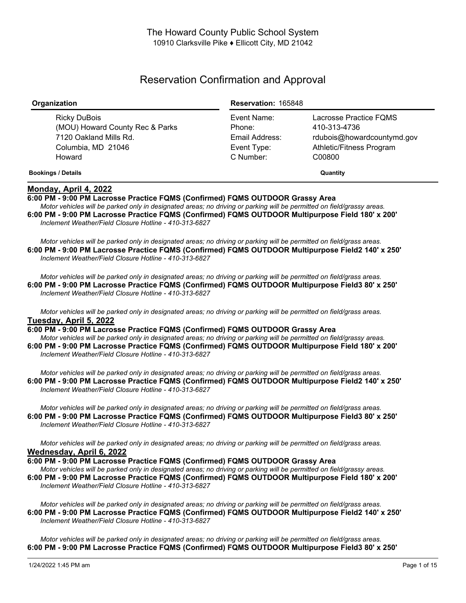# Reservation Confirmation and Approval

| Organization                                                                                              | <b>Reservation: 165848</b>                                          |                                                                                                            |
|-----------------------------------------------------------------------------------------------------------|---------------------------------------------------------------------|------------------------------------------------------------------------------------------------------------|
| Ricky DuBois<br>(MOU) Howard County Rec & Parks<br>7120 Oakland Mills Rd.<br>Columbia, MD 21046<br>Howard | Event Name:<br>Phone:<br>Email Address:<br>Event Type:<br>C Number: | Lacrosse Practice FOMS<br>410-313-4736<br>rdubois@howardcountymd.gov<br>Athletic/Fitness Program<br>C00800 |
| <b>Bookings / Details</b>                                                                                 |                                                                     | Quantity                                                                                                   |

# **Monday, April 4, 2022**

**6:00 PM - 9:00 PM Lacrosse Practice FQMS (Confirmed) FQMS OUTDOOR Grassy Area**

Motor vehicles will be parked only in designated areas; no driving or parking will be permitted on field/grassy areas. **6:00 PM - 9:00 PM Lacrosse Practice FQMS (Confirmed) FQMS OUTDOOR Multipurpose Field 180' x 200'** *Inclement Weather/Field Closure Hotline - 410-313-6827*

Motor vehicles will be parked only in designated areas; no driving or parking will be permitted on field/grass areas. **6:00 PM - 9:00 PM Lacrosse Practice FQMS (Confirmed) FQMS OUTDOOR Multipurpose Field2 140' x 250'** *Inclement Weather/Field Closure Hotline - 410-313-6827*

Motor vehicles will be parked only in designated areas; no driving or parking will be permitted on field/grass areas. **6:00 PM - 9:00 PM Lacrosse Practice FQMS (Confirmed) FQMS OUTDOOR Multipurpose Field3 80' x 250'** *Inclement Weather/Field Closure Hotline - 410-313-6827*

Motor vehicles will be parked only in designated areas; no driving or parking will be permitted on field/grass areas. **Tuesday, April 5, 2022**

**6:00 PM - 9:00 PM Lacrosse Practice FQMS (Confirmed) FQMS OUTDOOR Grassy Area** Motor vehicles will be parked only in designated areas; no driving or parking will be permitted on field/grassy areas. **6:00 PM - 9:00 PM Lacrosse Practice FQMS (Confirmed) FQMS OUTDOOR Multipurpose Field 180' x 200'** *Inclement Weather/Field Closure Hotline - 410-313-6827*

Motor vehicles will be parked only in designated areas; no driving or parking will be permitted on field/grass areas. **6:00 PM - 9:00 PM Lacrosse Practice FQMS (Confirmed) FQMS OUTDOOR Multipurpose Field2 140' x 250'** *Inclement Weather/Field Closure Hotline - 410-313-6827*

Motor vehicles will be parked only in designated areas: no driving or parking will be permitted on field/grass areas. **6:00 PM - 9:00 PM Lacrosse Practice FQMS (Confirmed) FQMS OUTDOOR Multipurpose Field3 80' x 250'** *Inclement Weather/Field Closure Hotline - 410-313-6827*

Motor vehicles will be parked only in designated areas; no driving or parking will be permitted on field/grass areas. **Wednesday, April 6, 2022**

**6:00 PM - 9:00 PM Lacrosse Practice FQMS (Confirmed) FQMS OUTDOOR Grassy Area**

Motor vehicles will be parked only in designated areas; no driving or parking will be permitted on field/grassy areas. **6:00 PM - 9:00 PM Lacrosse Practice FQMS (Confirmed) FQMS OUTDOOR Multipurpose Field 180' x 200'** *Inclement Weather/Field Closure Hotline - 410-313-6827*

Motor vehicles will be parked only in designated areas; no driving or parking will be permitted on field/grass areas. **6:00 PM - 9:00 PM Lacrosse Practice FQMS (Confirmed) FQMS OUTDOOR Multipurpose Field2 140' x 250'** *Inclement Weather/Field Closure Hotline - 410-313-6827*

Motor vehicles will be parked only in designated areas; no driving or parking will be permitted on field/grass areas. **6:00 PM - 9:00 PM Lacrosse Practice FQMS (Confirmed) FQMS OUTDOOR Multipurpose Field3 80' x 250'**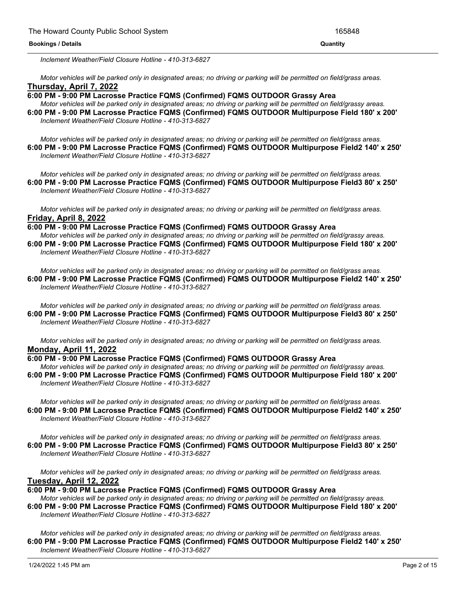#### **6:00 PM - 9:00 PM Lacrosse Practice FQMS (Confirmed) FQMS OUTDOOR Multipurpose Field3 80' x 250' Bookings / Details Quantity**

*Inclement Weather/Field Closure Hotline - 410-313-6827*

Motor vehicles will be parked only in designated areas; no driving or parking will be permitted on field/grass areas. **Thursday, April 7, 2022**

**6:00 PM - 9:00 PM Lacrosse Practice FQMS (Confirmed) FQMS OUTDOOR Grassy Area**

Motor vehicles will be parked only in designated areas; no driving or parking will be permitted on field/grassy areas. **6:00 PM - 9:00 PM Lacrosse Practice FQMS (Confirmed) FQMS OUTDOOR Multipurpose Field 180' x 200'** *Inclement Weather/Field Closure Hotline - 410-313-6827*

Motor vehicles will be parked only in designated areas; no driving or parking will be permitted on field/grass areas. **6:00 PM - 9:00 PM Lacrosse Practice FQMS (Confirmed) FQMS OUTDOOR Multipurpose Field2 140' x 250'** *Inclement Weather/Field Closure Hotline - 410-313-6827*

Motor vehicles will be parked only in designated areas; no driving or parking will be permitted on field/grass areas. **6:00 PM - 9:00 PM Lacrosse Practice FQMS (Confirmed) FQMS OUTDOOR Multipurpose Field3 80' x 250'** *Inclement Weather/Field Closure Hotline - 410-313-6827*

Motor vehicles will be parked only in designated areas; no driving or parking will be permitted on field/grass areas. **Friday, April 8, 2022**

**6:00 PM - 9:00 PM Lacrosse Practice FQMS (Confirmed) FQMS OUTDOOR Grassy Area** Motor vehicles will be parked only in designated areas; no driving or parking will be permitted on field/grassy areas. **6:00 PM - 9:00 PM Lacrosse Practice FQMS (Confirmed) FQMS OUTDOOR Multipurpose Field 180' x 200'** *Inclement Weather/Field Closure Hotline - 410-313-6827*

Motor vehicles will be parked only in designated areas; no driving or parking will be permitted on field/grass areas. **6:00 PM - 9:00 PM Lacrosse Practice FQMS (Confirmed) FQMS OUTDOOR Multipurpose Field2 140' x 250'** *Inclement Weather/Field Closure Hotline - 410-313-6827*

Motor vehicles will be parked only in designated areas; no driving or parking will be permitted on field/grass areas. **6:00 PM - 9:00 PM Lacrosse Practice FQMS (Confirmed) FQMS OUTDOOR Multipurpose Field3 80' x 250'** *Inclement Weather/Field Closure Hotline - 410-313-6827*

Motor vehicles will be parked only in designated areas; no driving or parking will be permitted on field/grass areas. **Monday, April 11, 2022**

**6:00 PM - 9:00 PM Lacrosse Practice FQMS (Confirmed) FQMS OUTDOOR Grassy Area**

Motor vehicles will be parked only in designated areas; no driving or parking will be permitted on field/grassy areas. **6:00 PM - 9:00 PM Lacrosse Practice FQMS (Confirmed) FQMS OUTDOOR Multipurpose Field 180' x 200'** *Inclement Weather/Field Closure Hotline - 410-313-6827*

Motor vehicles will be parked only in designated areas; no driving or parking will be permitted on field/grass areas. **6:00 PM - 9:00 PM Lacrosse Practice FQMS (Confirmed) FQMS OUTDOOR Multipurpose Field2 140' x 250'** *Inclement Weather/Field Closure Hotline - 410-313-6827*

Motor vehicles will be parked only in designated areas; no driving or parking will be permitted on field/grass areas. **6:00 PM - 9:00 PM Lacrosse Practice FQMS (Confirmed) FQMS OUTDOOR Multipurpose Field3 80' x 250'** *Inclement Weather/Field Closure Hotline - 410-313-6827*

Motor vehicles will be parked only in designated areas; no driving or parking will be permitted on field/grass areas. **Tuesday, April 12, 2022**

**6:00 PM - 9:00 PM Lacrosse Practice FQMS (Confirmed) FQMS OUTDOOR Grassy Area**

Motor vehicles will be parked only in designated areas; no driving or parking will be permitted on field/grassy areas. **6:00 PM - 9:00 PM Lacrosse Practice FQMS (Confirmed) FQMS OUTDOOR Multipurpose Field 180' x 200'** *Inclement Weather/Field Closure Hotline - 410-313-6827*

Motor vehicles will be parked only in designated areas; no driving or parking will be permitted on field/grass areas. **6:00 PM - 9:00 PM Lacrosse Practice FQMS (Confirmed) FQMS OUTDOOR Multipurpose Field2 140' x 250'** *Inclement Weather/Field Closure Hotline - 410-313-6827*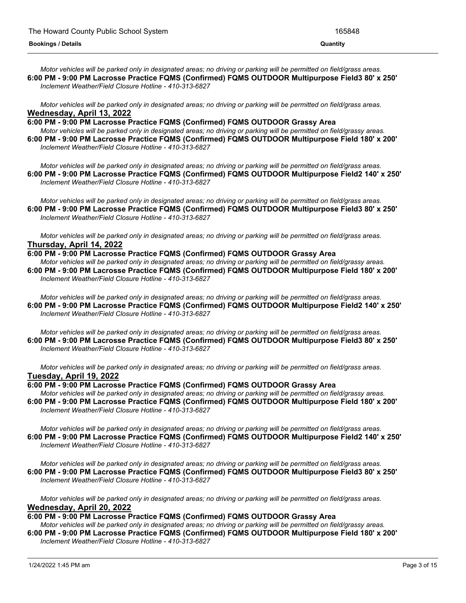Motor vehicles will be parked only in designated areas; no driving or parking will be permitted on field/grass areas. **6:00 PM - 9:00 PM Lacrosse Practice FQMS (Confirmed) FQMS OUTDOOR Multipurpose Field3 80' x 250'** *Inclement Weather/Field Closure Hotline - 410-313-6827*

Motor vehicles will be parked only in designated areas; no driving or parking will be permitted on field/grass areas. **Wednesday, April 13, 2022**

**6:00 PM - 9:00 PM Lacrosse Practice FQMS (Confirmed) FQMS OUTDOOR Grassy Area**

Motor vehicles will be parked only in designated areas; no driving or parking will be permitted on field/grassy areas. **6:00 PM - 9:00 PM Lacrosse Practice FQMS (Confirmed) FQMS OUTDOOR Multipurpose Field 180' x 200'** *Inclement Weather/Field Closure Hotline - 410-313-6827*

Motor vehicles will be parked only in designated areas; no driving or parking will be permitted on field/grass areas. **6:00 PM - 9:00 PM Lacrosse Practice FQMS (Confirmed) FQMS OUTDOOR Multipurpose Field2 140' x 250'** *Inclement Weather/Field Closure Hotline - 410-313-6827*

Motor vehicles will be parked only in designated areas; no driving or parking will be permitted on field/grass areas. **6:00 PM - 9:00 PM Lacrosse Practice FQMS (Confirmed) FQMS OUTDOOR Multipurpose Field3 80' x 250'** *Inclement Weather/Field Closure Hotline - 410-313-6827*

Motor vehicles will be parked only in designated areas; no driving or parking will be permitted on field/grass areas. **Thursday, April 14, 2022**

**6:00 PM - 9:00 PM Lacrosse Practice FQMS (Confirmed) FQMS OUTDOOR Grassy Area** Motor vehicles will be parked only in designated areas; no driving or parking will be permitted on field/grassy areas. **6:00 PM - 9:00 PM Lacrosse Practice FQMS (Confirmed) FQMS OUTDOOR Multipurpose Field 180' x 200'** *Inclement Weather/Field Closure Hotline - 410-313-6827*

Motor vehicles will be parked only in designated areas; no driving or parking will be permitted on field/grass areas. **6:00 PM - 9:00 PM Lacrosse Practice FQMS (Confirmed) FQMS OUTDOOR Multipurpose Field2 140' x 250'** *Inclement Weather/Field Closure Hotline - 410-313-6827*

Motor vehicles will be parked only in designated areas; no driving or parking will be permitted on field/grass areas. **6:00 PM - 9:00 PM Lacrosse Practice FQMS (Confirmed) FQMS OUTDOOR Multipurpose Field3 80' x 250'** *Inclement Weather/Field Closure Hotline - 410-313-6827*

Motor vehicles will be parked only in designated areas; no driving or parking will be permitted on field/grass areas. **Tuesday, April 19, 2022**

# **6:00 PM - 9:00 PM Lacrosse Practice FQMS (Confirmed) FQMS OUTDOOR Grassy Area**

Motor vehicles will be parked only in designated areas; no driving or parking will be permitted on field/grassy areas. **6:00 PM - 9:00 PM Lacrosse Practice FQMS (Confirmed) FQMS OUTDOOR Multipurpose Field 180' x 200'** *Inclement Weather/Field Closure Hotline - 410-313-6827*

Motor vehicles will be parked only in designated areas; no driving or parking will be permitted on field/grass areas. **6:00 PM - 9:00 PM Lacrosse Practice FQMS (Confirmed) FQMS OUTDOOR Multipurpose Field2 140' x 250'** *Inclement Weather/Field Closure Hotline - 410-313-6827*

Motor vehicles will be parked only in designated areas; no driving or parking will be permitted on field/grass areas. **6:00 PM - 9:00 PM Lacrosse Practice FQMS (Confirmed) FQMS OUTDOOR Multipurpose Field3 80' x 250'** *Inclement Weather/Field Closure Hotline - 410-313-6827*

Motor vehicles will be parked only in designated areas; no driving or parking will be permitted on field/grass areas. **Wednesday, April 20, 2022**

# **6:00 PM - 9:00 PM Lacrosse Practice FQMS (Confirmed) FQMS OUTDOOR Grassy Area**

Motor vehicles will be parked only in designated areas: no driving or parking will be permitted on field/grassy areas. **6:00 PM - 9:00 PM Lacrosse Practice FQMS (Confirmed) FQMS OUTDOOR Multipurpose Field 180' x 200'** *Inclement Weather/Field Closure Hotline - 410-313-6827*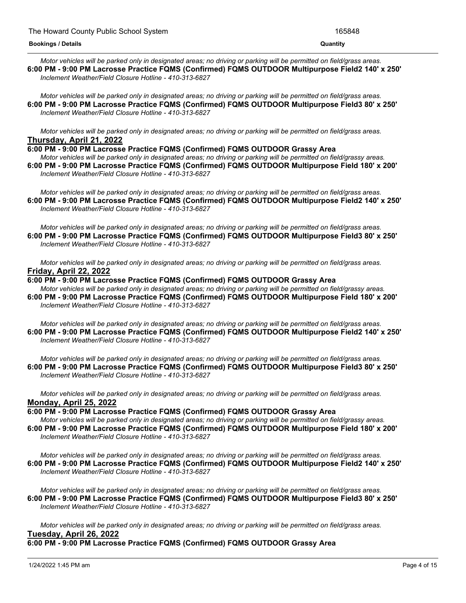Motor vehicles will be parked only in designated areas; no driving or parking will be permitted on field/grass areas. **6:00 PM - 9:00 PM Lacrosse Practice FQMS (Confirmed) FQMS OUTDOOR Multipurpose Field2 140' x 250'** *Inclement Weather/Field Closure Hotline - 410-313-6827*

Motor vehicles will be parked only in designated areas; no driving or parking will be permitted on field/grass areas. **6:00 PM - 9:00 PM Lacrosse Practice FQMS (Confirmed) FQMS OUTDOOR Multipurpose Field3 80' x 250'** *Inclement Weather/Field Closure Hotline - 410-313-6827*

Motor vehicles will be parked only in designated areas; no driving or parking will be permitted on field/grass areas. **Thursday, April 21, 2022**

### **6:00 PM - 9:00 PM Lacrosse Practice FQMS (Confirmed) FQMS OUTDOOR Grassy Area**

Motor vehicles will be parked only in designated areas; no driving or parking will be permitted on field/grassy areas. **6:00 PM - 9:00 PM Lacrosse Practice FQMS (Confirmed) FQMS OUTDOOR Multipurpose Field 180' x 200'** *Inclement Weather/Field Closure Hotline - 410-313-6827*

Motor vehicles will be parked only in designated areas; no driving or parking will be permitted on field/grass areas. **6:00 PM - 9:00 PM Lacrosse Practice FQMS (Confirmed) FQMS OUTDOOR Multipurpose Field2 140' x 250'** *Inclement Weather/Field Closure Hotline - 410-313-6827*

Motor vehicles will be parked only in designated areas; no driving or parking will be permitted on field/grass areas. **6:00 PM - 9:00 PM Lacrosse Practice FQMS (Confirmed) FQMS OUTDOOR Multipurpose Field3 80' x 250'** *Inclement Weather/Field Closure Hotline - 410-313-6827*

Motor vehicles will be parked only in designated areas; no driving or parking will be permitted on field/grass areas. **Friday, April 22, 2022**

**6:00 PM - 9:00 PM Lacrosse Practice FQMS (Confirmed) FQMS OUTDOOR Grassy Area** Motor vehicles will be parked only in designated areas; no driving or parking will be permitted on field/grassy areas. **6:00 PM - 9:00 PM Lacrosse Practice FQMS (Confirmed) FQMS OUTDOOR Multipurpose Field 180' x 200'** *Inclement Weather/Field Closure Hotline - 410-313-6827*

Motor vehicles will be parked only in designated areas; no driving or parking will be permitted on field/grass areas. **6:00 PM - 9:00 PM Lacrosse Practice FQMS (Confirmed) FQMS OUTDOOR Multipurpose Field2 140' x 250'** *Inclement Weather/Field Closure Hotline - 410-313-6827*

Motor vehicles will be parked only in designated areas; no driving or parking will be permitted on field/grass areas. **6:00 PM - 9:00 PM Lacrosse Practice FQMS (Confirmed) FQMS OUTDOOR Multipurpose Field3 80' x 250'** *Inclement Weather/Field Closure Hotline - 410-313-6827*

Motor vehicles will be parked only in designated areas; no driving or parking will be permitted on field/grass areas. **Monday, April 25, 2022**

# **6:00 PM - 9:00 PM Lacrosse Practice FQMS (Confirmed) FQMS OUTDOOR Grassy Area**

Motor vehicles will be parked only in designated areas: no driving or parking will be permitted on field/grassy areas. **6:00 PM - 9:00 PM Lacrosse Practice FQMS (Confirmed) FQMS OUTDOOR Multipurpose Field 180' x 200'** *Inclement Weather/Field Closure Hotline - 410-313-6827*

Motor vehicles will be parked only in designated areas; no driving or parking will be permitted on field/grass areas. **6:00 PM - 9:00 PM Lacrosse Practice FQMS (Confirmed) FQMS OUTDOOR Multipurpose Field2 140' x 250'** *Inclement Weather/Field Closure Hotline - 410-313-6827*

Motor vehicles will be parked only in designated areas; no driving or parking will be permitted on field/grass areas. **6:00 PM - 9:00 PM Lacrosse Practice FQMS (Confirmed) FQMS OUTDOOR Multipurpose Field3 80' x 250'** *Inclement Weather/Field Closure Hotline - 410-313-6827*

Motor vehicles will be parked only in designated areas; no driving or parking will be permitted on field/grass areas. **Tuesday, April 26, 2022**

**6:00 PM - 9:00 PM Lacrosse Practice FQMS (Confirmed) FQMS OUTDOOR Grassy Area**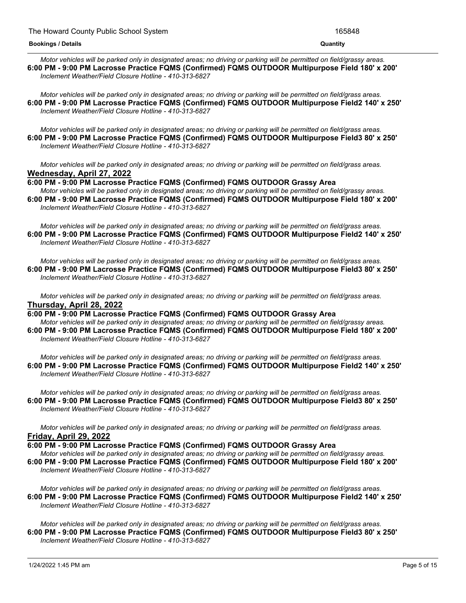#### **6:00 PM - 9:00 PM Lacrosse Practice FQMS (Confirmed) FQMS OUTDOOR Grassy Area Bookings / Details Quantity**

Motor vehicles will be parked only in designated areas; no driving or parking will be permitted on field/grassy areas. **6:00 PM - 9:00 PM Lacrosse Practice FQMS (Confirmed) FQMS OUTDOOR Multipurpose Field 180' x 200'** *Inclement Weather/Field Closure Hotline - 410-313-6827*

Motor vehicles will be parked only in designated areas: no driving or parking will be permitted on field/grass areas. **6:00 PM - 9:00 PM Lacrosse Practice FQMS (Confirmed) FQMS OUTDOOR Multipurpose Field2 140' x 250'** *Inclement Weather/Field Closure Hotline - 410-313-6827*

Motor vehicles will be parked only in designated areas; no driving or parking will be permitted on field/grass areas. **6:00 PM - 9:00 PM Lacrosse Practice FQMS (Confirmed) FQMS OUTDOOR Multipurpose Field3 80' x 250'** *Inclement Weather/Field Closure Hotline - 410-313-6827*

Motor vehicles will be parked only in designated areas: no driving or parking will be permitted on field/grass areas. **Wednesday, April 27, 2022**

**6:00 PM - 9:00 PM Lacrosse Practice FQMS (Confirmed) FQMS OUTDOOR Grassy Area**

Motor vehicles will be parked only in designated areas; no driving or parking will be permitted on field/grassy areas. **6:00 PM - 9:00 PM Lacrosse Practice FQMS (Confirmed) FQMS OUTDOOR Multipurpose Field 180' x 200'** *Inclement Weather/Field Closure Hotline - 410-313-6827*

Motor vehicles will be parked only in designated areas; no driving or parking will be permitted on field/grass areas. **6:00 PM - 9:00 PM Lacrosse Practice FQMS (Confirmed) FQMS OUTDOOR Multipurpose Field2 140' x 250'** *Inclement Weather/Field Closure Hotline - 410-313-6827*

Motor vehicles will be parked only in designated areas; no driving or parking will be permitted on field/grass areas. **6:00 PM - 9:00 PM Lacrosse Practice FQMS (Confirmed) FQMS OUTDOOR Multipurpose Field3 80' x 250'** *Inclement Weather/Field Closure Hotline - 410-313-6827*

Motor vehicles will be parked only in designated areas; no driving or parking will be permitted on field/grass areas. **Thursday, April 28, 2022**

**6:00 PM - 9:00 PM Lacrosse Practice FQMS (Confirmed) FQMS OUTDOOR Grassy Area** Motor vehicles will be parked only in designated areas; no driving or parking will be permitted on field/grassy areas. **6:00 PM - 9:00 PM Lacrosse Practice FQMS (Confirmed) FQMS OUTDOOR Multipurpose Field 180' x 200'** *Inclement Weather/Field Closure Hotline - 410-313-6827*

Motor vehicles will be parked only in designated areas; no driving or parking will be permitted on field/grass areas. **6:00 PM - 9:00 PM Lacrosse Practice FQMS (Confirmed) FQMS OUTDOOR Multipurpose Field2 140' x 250'** *Inclement Weather/Field Closure Hotline - 410-313-6827*

Motor vehicles will be parked only in designated areas; no driving or parking will be permitted on field/grass areas. **6:00 PM - 9:00 PM Lacrosse Practice FQMS (Confirmed) FQMS OUTDOOR Multipurpose Field3 80' x 250'** *Inclement Weather/Field Closure Hotline - 410-313-6827*

Motor vehicles will be parked only in designated areas; no driving or parking will be permitted on field/grass areas. **Friday, April 29, 2022**

**6:00 PM - 9:00 PM Lacrosse Practice FQMS (Confirmed) FQMS OUTDOOR Grassy Area**

Motor vehicles will be parked only in designated areas; no driving or parking will be permitted on field/grassy areas. **6:00 PM - 9:00 PM Lacrosse Practice FQMS (Confirmed) FQMS OUTDOOR Multipurpose Field 180' x 200'** *Inclement Weather/Field Closure Hotline - 410-313-6827*

Motor vehicles will be parked only in designated areas; no driving or parking will be permitted on field/grass areas. **6:00 PM - 9:00 PM Lacrosse Practice FQMS (Confirmed) FQMS OUTDOOR Multipurpose Field2 140' x 250'** *Inclement Weather/Field Closure Hotline - 410-313-6827*

Motor vehicles will be parked only in designated areas; no driving or parking will be permitted on field/grass areas. **6:00 PM - 9:00 PM Lacrosse Practice FQMS (Confirmed) FQMS OUTDOOR Multipurpose Field3 80' x 250'** *Inclement Weather/Field Closure Hotline - 410-313-6827*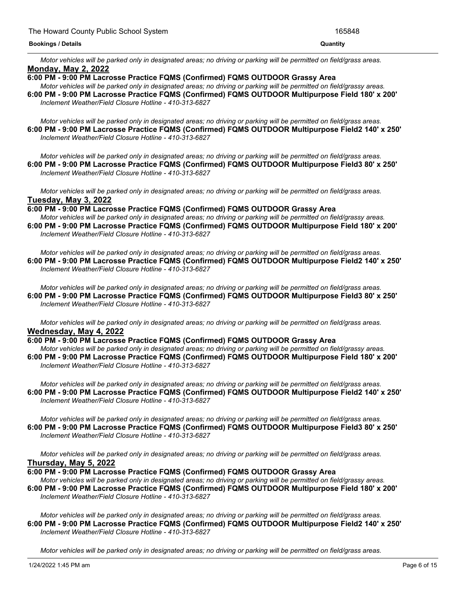Motor vehicles will be parked only in designated areas; no driving or parking will be permitted on field/grass areas. **Monday, May 2, 2022**

**6:00 PM - 9:00 PM Lacrosse Practice FQMS (Confirmed) FQMS OUTDOOR Grassy Area**

Motor vehicles will be parked only in designated areas; no driving or parking will be permitted on field/grassy areas. **6:00 PM - 9:00 PM Lacrosse Practice FQMS (Confirmed) FQMS OUTDOOR Multipurpose Field 180' x 200'** *Inclement Weather/Field Closure Hotline - 410-313-6827*

Motor vehicles will be parked only in designated areas; no driving or parking will be permitted on field/grass areas. **6:00 PM - 9:00 PM Lacrosse Practice FQMS (Confirmed) FQMS OUTDOOR Multipurpose Field2 140' x 250'** *Inclement Weather/Field Closure Hotline - 410-313-6827*

Motor vehicles will be parked only in designated areas; no driving or parking will be permitted on field/grass areas. **6:00 PM - 9:00 PM Lacrosse Practice FQMS (Confirmed) FQMS OUTDOOR Multipurpose Field3 80' x 250'** *Inclement Weather/Field Closure Hotline - 410-313-6827*

Motor vehicles will be parked only in designated areas; no driving or parking will be permitted on field/grass areas. **Tuesday, May 3, 2022**

**6:00 PM - 9:00 PM Lacrosse Practice FQMS (Confirmed) FQMS OUTDOOR Grassy Area**

Motor vehicles will be parked only in designated areas; no driving or parking will be permitted on field/grassy areas. **6:00 PM - 9:00 PM Lacrosse Practice FQMS (Confirmed) FQMS OUTDOOR Multipurpose Field 180' x 200'** *Inclement Weather/Field Closure Hotline - 410-313-6827*

Motor vehicles will be parked only in designated areas; no driving or parking will be permitted on field/grass areas. **6:00 PM - 9:00 PM Lacrosse Practice FQMS (Confirmed) FQMS OUTDOOR Multipurpose Field2 140' x 250'** *Inclement Weather/Field Closure Hotline - 410-313-6827*

Motor vehicles will be parked only in designated areas; no driving or parking will be permitted on field/grass areas. **6:00 PM - 9:00 PM Lacrosse Practice FQMS (Confirmed) FQMS OUTDOOR Multipurpose Field3 80' x 250'** *Inclement Weather/Field Closure Hotline - 410-313-6827*

Motor vehicles will be parked only in designated areas; no driving or parking will be permitted on field/grass areas. **Wednesday, May 4, 2022**

**6:00 PM - 9:00 PM Lacrosse Practice FQMS (Confirmed) FQMS OUTDOOR Grassy Area**

Motor vehicles will be parked only in designated areas; no driving or parking will be permitted on field/grassy areas. **6:00 PM - 9:00 PM Lacrosse Practice FQMS (Confirmed) FQMS OUTDOOR Multipurpose Field 180' x 200'** *Inclement Weather/Field Closure Hotline - 410-313-6827*

Motor vehicles will be parked only in designated areas; no driving or parking will be permitted on field/grass areas. **6:00 PM - 9:00 PM Lacrosse Practice FQMS (Confirmed) FQMS OUTDOOR Multipurpose Field2 140' x 250'** *Inclement Weather/Field Closure Hotline - 410-313-6827*

Motor vehicles will be parked only in designated areas; no driving or parking will be permitted on field/grass areas. **6:00 PM - 9:00 PM Lacrosse Practice FQMS (Confirmed) FQMS OUTDOOR Multipurpose Field3 80' x 250'** *Inclement Weather/Field Closure Hotline - 410-313-6827*

Motor vehicles will be parked only in designated areas; no driving or parking will be permitted on field/grass areas. **Thursday, May 5, 2022**

**6:00 PM - 9:00 PM Lacrosse Practice FQMS (Confirmed) FQMS OUTDOOR Grassy Area**

Motor vehicles will be parked only in designated areas; no driving or parking will be permitted on field/grassy areas. **6:00 PM - 9:00 PM Lacrosse Practice FQMS (Confirmed) FQMS OUTDOOR Multipurpose Field 180' x 200'** *Inclement Weather/Field Closure Hotline - 410-313-6827*

Motor vehicles will be parked only in designated areas; no driving or parking will be permitted on field/grass areas. **6:00 PM - 9:00 PM Lacrosse Practice FQMS (Confirmed) FQMS OUTDOOR Multipurpose Field2 140' x 250'** *Inclement Weather/Field Closure Hotline - 410-313-6827*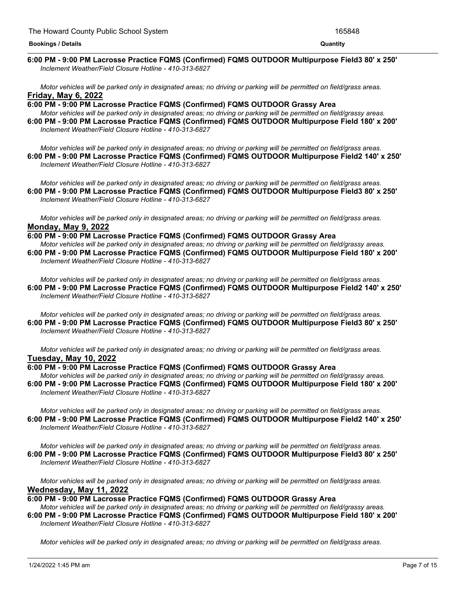#### <u> 1989 - Andrea Andrew Maria (h. 1989).</u> **6:00 PM - 9:00 PM Lacrosse Practice FQMS (Confirmed) FQMS OUTDOOR Multipurpose Field3 80' x 250'** *Inclement Weather/Field Closure Hotline - 410-313-6827*

Motor vehicles will be parked only in designated areas; no driving or parking will be permitted on field/grass areas. **Friday, May 6, 2022**

**6:00 PM - 9:00 PM Lacrosse Practice FQMS (Confirmed) FQMS OUTDOOR Grassy Area** Motor vehicles will be parked only in designated areas; no driving or parking will be permitted on field/grassy areas. **6:00 PM - 9:00 PM Lacrosse Practice FQMS (Confirmed) FQMS OUTDOOR Multipurpose Field 180' x 200'** *Inclement Weather/Field Closure Hotline - 410-313-6827*

Motor vehicles will be parked only in designated areas; no driving or parking will be permitted on field/grass areas. **6:00 PM - 9:00 PM Lacrosse Practice FQMS (Confirmed) FQMS OUTDOOR Multipurpose Field2 140' x 250'** *Inclement Weather/Field Closure Hotline - 410-313-6827*

Motor vehicles will be parked only in designated areas; no driving or parking will be permitted on field/grass areas. **6:00 PM - 9:00 PM Lacrosse Practice FQMS (Confirmed) FQMS OUTDOOR Multipurpose Field3 80' x 250'** *Inclement Weather/Field Closure Hotline - 410-313-6827*

Motor vehicles will be parked only in designated areas; no driving or parking will be permitted on field/grass areas. **Monday, May 9, 2022**

# **6:00 PM - 9:00 PM Lacrosse Practice FQMS (Confirmed) FQMS OUTDOOR Grassy Area**

Motor vehicles will be parked only in designated areas; no driving or parking will be permitted on field/grassy areas. **6:00 PM - 9:00 PM Lacrosse Practice FQMS (Confirmed) FQMS OUTDOOR Multipurpose Field 180' x 200'** *Inclement Weather/Field Closure Hotline - 410-313-6827*

Motor vehicles will be parked only in designated areas; no driving or parking will be permitted on field/grass areas. **6:00 PM - 9:00 PM Lacrosse Practice FQMS (Confirmed) FQMS OUTDOOR Multipurpose Field2 140' x 250'** *Inclement Weather/Field Closure Hotline - 410-313-6827*

Motor vehicles will be parked only in designated areas; no driving or parking will be permitted on field/grass areas. **6:00 PM - 9:00 PM Lacrosse Practice FQMS (Confirmed) FQMS OUTDOOR Multipurpose Field3 80' x 250'** *Inclement Weather/Field Closure Hotline - 410-313-6827*

Motor vehicles will be parked only in designated areas; no driving or parking will be permitted on field/grass areas. **Tuesday, May 10, 2022**

**6:00 PM - 9:00 PM Lacrosse Practice FQMS (Confirmed) FQMS OUTDOOR Grassy Area** Motor vehicles will be parked only in designated areas; no driving or parking will be permitted on field/grassy areas. **6:00 PM - 9:00 PM Lacrosse Practice FQMS (Confirmed) FQMS OUTDOOR Multipurpose Field 180' x 200'** *Inclement Weather/Field Closure Hotline - 410-313-6827*

Motor vehicles will be parked only in designated areas; no driving or parking will be permitted on field/grass areas. **6:00 PM - 9:00 PM Lacrosse Practice FQMS (Confirmed) FQMS OUTDOOR Multipurpose Field2 140' x 250'** *Inclement Weather/Field Closure Hotline - 410-313-6827*

Motor vehicles will be parked only in designated areas; no driving or parking will be permitted on field/grass areas. **6:00 PM - 9:00 PM Lacrosse Practice FQMS (Confirmed) FQMS OUTDOOR Multipurpose Field3 80' x 250'** *Inclement Weather/Field Closure Hotline - 410-313-6827*

Motor vehicles will be parked only in designated areas; no driving or parking will be permitted on field/grass areas. **Wednesday, May 11, 2022**

**6:00 PM - 9:00 PM Lacrosse Practice FQMS (Confirmed) FQMS OUTDOOR Grassy Area**

Motor vehicles will be parked only in designated areas; no driving or parking will be permitted on field/grassy areas. **6:00 PM - 9:00 PM Lacrosse Practice FQMS (Confirmed) FQMS OUTDOOR Multipurpose Field 180' x 200'** *Inclement Weather/Field Closure Hotline - 410-313-6827*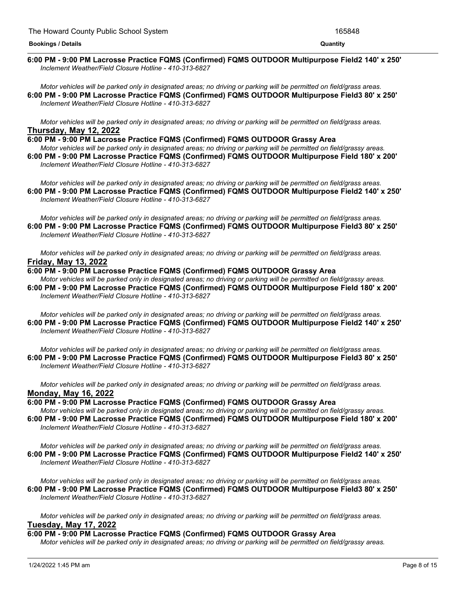#### <u> 1989 - Andrea Andrew Maria (h. 1989).</u> **6:00 PM - 9:00 PM Lacrosse Practice FQMS (Confirmed) FQMS OUTDOOR Multipurpose Field2 140' x 250'** *Inclement Weather/Field Closure Hotline - 410-313-6827*

Motor vehicles will be parked only in designated areas; no driving or parking will be permitted on field/grass areas. **6:00 PM - 9:00 PM Lacrosse Practice FQMS (Confirmed) FQMS OUTDOOR Multipurpose Field3 80' x 250'** *Inclement Weather/Field Closure Hotline - 410-313-6827*

Motor vehicles will be parked only in designated areas; no driving or parking will be permitted on field/grass areas. **Thursday, May 12, 2022**

**6:00 PM - 9:00 PM Lacrosse Practice FQMS (Confirmed) FQMS OUTDOOR Grassy Area**

Motor vehicles will be parked only in designated areas; no driving or parking will be permitted on field/grassy areas. **6:00 PM - 9:00 PM Lacrosse Practice FQMS (Confirmed) FQMS OUTDOOR Multipurpose Field 180' x 200'** *Inclement Weather/Field Closure Hotline - 410-313-6827*

Motor vehicles will be parked only in designated areas; no driving or parking will be permitted on field/grass areas. **6:00 PM - 9:00 PM Lacrosse Practice FQMS (Confirmed) FQMS OUTDOOR Multipurpose Field2 140' x 250'** *Inclement Weather/Field Closure Hotline - 410-313-6827*

Motor vehicles will be parked only in designated areas; no driving or parking will be permitted on field/grass areas. **6:00 PM - 9:00 PM Lacrosse Practice FQMS (Confirmed) FQMS OUTDOOR Multipurpose Field3 80' x 250'** *Inclement Weather/Field Closure Hotline - 410-313-6827*

Motor vehicles will be parked only in designated areas; no driving or parking will be permitted on field/grass areas. **Friday, May 13, 2022**

# **6:00 PM - 9:00 PM Lacrosse Practice FQMS (Confirmed) FQMS OUTDOOR Grassy Area**

Motor vehicles will be parked only in designated areas; no driving or parking will be permitted on field/grassy areas. **6:00 PM - 9:00 PM Lacrosse Practice FQMS (Confirmed) FQMS OUTDOOR Multipurpose Field 180' x 200'** *Inclement Weather/Field Closure Hotline - 410-313-6827*

Motor vehicles will be parked only in designated areas; no driving or parking will be permitted on field/grass areas. **6:00 PM - 9:00 PM Lacrosse Practice FQMS (Confirmed) FQMS OUTDOOR Multipurpose Field2 140' x 250'** *Inclement Weather/Field Closure Hotline - 410-313-6827*

Motor vehicles will be parked only in designated areas; no driving or parking will be permitted on field/grass areas. **6:00 PM - 9:00 PM Lacrosse Practice FQMS (Confirmed) FQMS OUTDOOR Multipurpose Field3 80' x 250'** *Inclement Weather/Field Closure Hotline - 410-313-6827*

Motor vehicles will be parked only in designated areas; no driving or parking will be permitted on field/grass areas. **Monday, May 16, 2022**

**6:00 PM - 9:00 PM Lacrosse Practice FQMS (Confirmed) FQMS OUTDOOR Grassy Area** Motor vehicles will be parked only in designated areas; no driving or parking will be permitted on field/grassy areas. **6:00 PM - 9:00 PM Lacrosse Practice FQMS (Confirmed) FQMS OUTDOOR Multipurpose Field 180' x 200'** *Inclement Weather/Field Closure Hotline - 410-313-6827*

Motor vehicles will be parked only in designated areas; no driving or parking will be permitted on field/grass areas. **6:00 PM - 9:00 PM Lacrosse Practice FQMS (Confirmed) FQMS OUTDOOR Multipurpose Field2 140' x 250'** *Inclement Weather/Field Closure Hotline - 410-313-6827*

Motor vehicles will be parked only in designated areas; no driving or parking will be permitted on field/grass areas. **6:00 PM - 9:00 PM Lacrosse Practice FQMS (Confirmed) FQMS OUTDOOR Multipurpose Field3 80' x 250'** *Inclement Weather/Field Closure Hotline - 410-313-6827*

Motor vehicles will be parked only in designated areas; no driving or parking will be permitted on field/grass areas. **Tuesday, May 17, 2022**

# **6:00 PM - 9:00 PM Lacrosse Practice FQMS (Confirmed) FQMS OUTDOOR Grassy Area**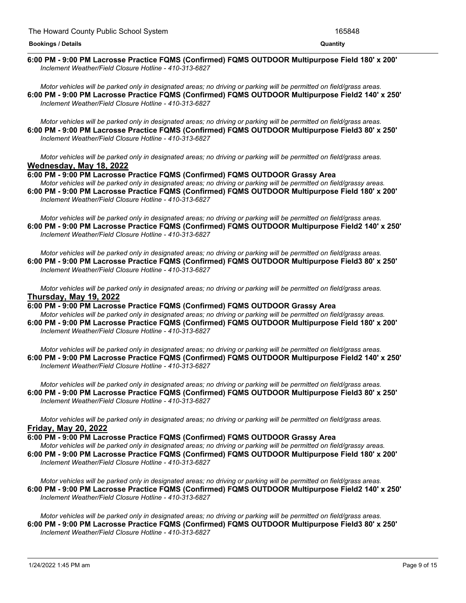#### *Motor vehicles will be parked only in designated areas; no driving or parking will be permitted on field/grassy areas.* **6:00 PM - 9:00 PM Lacrosse Practice FQMS (Confirmed) FQMS OUTDOOR Multipurpose Field 180' x 200'** *Inclement Weather/Field Closure Hotline - 410-313-6827*

Motor vehicles will be parked only in designated areas; no driving or parking will be permitted on field/grass areas. **6:00 PM - 9:00 PM Lacrosse Practice FQMS (Confirmed) FQMS OUTDOOR Multipurpose Field2 140' x 250'** *Inclement Weather/Field Closure Hotline - 410-313-6827*

Motor vehicles will be parked only in designated areas; no driving or parking will be permitted on field/grass areas. **6:00 PM - 9:00 PM Lacrosse Practice FQMS (Confirmed) FQMS OUTDOOR Multipurpose Field3 80' x 250'** *Inclement Weather/Field Closure Hotline - 410-313-6827*

Motor vehicles will be parked only in designated areas: no driving or parking will be permitted on field/grass areas. **Wednesday, May 18, 2022**

# **6:00 PM - 9:00 PM Lacrosse Practice FQMS (Confirmed) FQMS OUTDOOR Grassy Area**

Motor vehicles will be parked only in designated areas; no driving or parking will be permitted on field/grassy areas. **6:00 PM - 9:00 PM Lacrosse Practice FQMS (Confirmed) FQMS OUTDOOR Multipurpose Field 180' x 200'** *Inclement Weather/Field Closure Hotline - 410-313-6827*

Motor vehicles will be parked only in designated areas; no driving or parking will be permitted on field/grass areas. **6:00 PM - 9:00 PM Lacrosse Practice FQMS (Confirmed) FQMS OUTDOOR Multipurpose Field2 140' x 250'** *Inclement Weather/Field Closure Hotline - 410-313-6827*

Motor vehicles will be parked only in designated areas; no driving or parking will be permitted on field/grass areas. **6:00 PM - 9:00 PM Lacrosse Practice FQMS (Confirmed) FQMS OUTDOOR Multipurpose Field3 80' x 250'** *Inclement Weather/Field Closure Hotline - 410-313-6827*

Motor vehicles will be parked only in designated areas; no driving or parking will be permitted on field/grass areas. **Thursday, May 19, 2022**

**6:00 PM - 9:00 PM Lacrosse Practice FQMS (Confirmed) FQMS OUTDOOR Grassy Area** Motor vehicles will be parked only in designated areas; no driving or parking will be permitted on field/grassy areas.

**6:00 PM - 9:00 PM Lacrosse Practice FQMS (Confirmed) FQMS OUTDOOR Multipurpose Field 180' x 200'** *Inclement Weather/Field Closure Hotline - 410-313-6827*

Motor vehicles will be parked only in designated areas; no driving or parking will be permitted on field/grass areas. **6:00 PM - 9:00 PM Lacrosse Practice FQMS (Confirmed) FQMS OUTDOOR Multipurpose Field2 140' x 250'** *Inclement Weather/Field Closure Hotline - 410-313-6827*

Motor vehicles will be parked only in designated areas; no driving or parking will be permitted on field/grass areas. **6:00 PM - 9:00 PM Lacrosse Practice FQMS (Confirmed) FQMS OUTDOOR Multipurpose Field3 80' x 250'** *Inclement Weather/Field Closure Hotline - 410-313-6827*

Motor vehicles will be parked only in designated areas; no driving or parking will be permitted on field/grass areas. **Friday, May 20, 2022**

**6:00 PM - 9:00 PM Lacrosse Practice FQMS (Confirmed) FQMS OUTDOOR Grassy Area**

Motor vehicles will be parked only in designated areas; no driving or parking will be permitted on field/grassy areas. **6:00 PM - 9:00 PM Lacrosse Practice FQMS (Confirmed) FQMS OUTDOOR Multipurpose Field 180' x 200'** *Inclement Weather/Field Closure Hotline - 410-313-6827*

Motor vehicles will be parked only in designated areas; no driving or parking will be permitted on field/grass areas. **6:00 PM - 9:00 PM Lacrosse Practice FQMS (Confirmed) FQMS OUTDOOR Multipurpose Field2 140' x 250'** *Inclement Weather/Field Closure Hotline - 410-313-6827*

Motor vehicles will be parked only in designated areas; no driving or parking will be permitted on field/grass areas. **6:00 PM - 9:00 PM Lacrosse Practice FQMS (Confirmed) FQMS OUTDOOR Multipurpose Field3 80' x 250'** *Inclement Weather/Field Closure Hotline - 410-313-6827*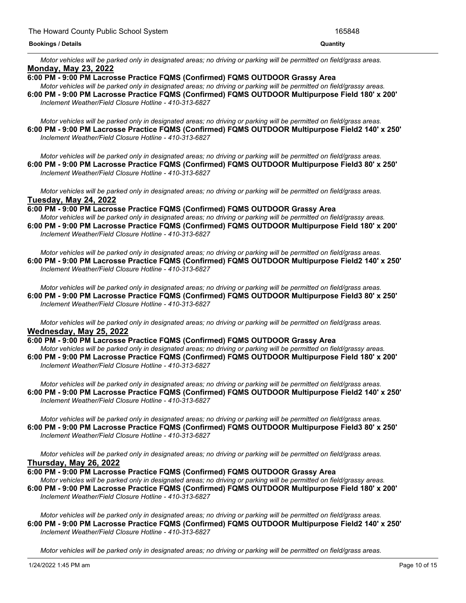Motor vehicles will be parked only in designated areas; no driving or parking will be permitted on field/grass areas. **Monday, May 23, 2022**

**6:00 PM - 9:00 PM Lacrosse Practice FQMS (Confirmed) FQMS OUTDOOR Grassy Area**

Motor vehicles will be parked only in designated areas; no driving or parking will be permitted on field/grassy areas. **6:00 PM - 9:00 PM Lacrosse Practice FQMS (Confirmed) FQMS OUTDOOR Multipurpose Field 180' x 200'** *Inclement Weather/Field Closure Hotline - 410-313-6827*

Motor vehicles will be parked only in designated areas; no driving or parking will be permitted on field/grass areas. **6:00 PM - 9:00 PM Lacrosse Practice FQMS (Confirmed) FQMS OUTDOOR Multipurpose Field2 140' x 250'** *Inclement Weather/Field Closure Hotline - 410-313-6827*

Motor vehicles will be parked only in designated areas; no driving or parking will be permitted on field/grass areas. **6:00 PM - 9:00 PM Lacrosse Practice FQMS (Confirmed) FQMS OUTDOOR Multipurpose Field3 80' x 250'** *Inclement Weather/Field Closure Hotline - 410-313-6827*

Motor vehicles will be parked only in designated areas; no driving or parking will be permitted on field/grass areas. **Tuesday, May 24, 2022**

**6:00 PM - 9:00 PM Lacrosse Practice FQMS (Confirmed) FQMS OUTDOOR Grassy Area**

Motor vehicles will be parked only in designated areas; no driving or parking will be permitted on field/grassy areas. **6:00 PM - 9:00 PM Lacrosse Practice FQMS (Confirmed) FQMS OUTDOOR Multipurpose Field 180' x 200'** *Inclement Weather/Field Closure Hotline - 410-313-6827*

Motor vehicles will be parked only in designated areas; no driving or parking will be permitted on field/grass areas. **6:00 PM - 9:00 PM Lacrosse Practice FQMS (Confirmed) FQMS OUTDOOR Multipurpose Field2 140' x 250'** *Inclement Weather/Field Closure Hotline - 410-313-6827*

Motor vehicles will be parked only in designated areas: no driving or parking will be permitted on field/grass areas. **6:00 PM - 9:00 PM Lacrosse Practice FQMS (Confirmed) FQMS OUTDOOR Multipurpose Field3 80' x 250'** *Inclement Weather/Field Closure Hotline - 410-313-6827*

Motor vehicles will be parked only in designated areas; no driving or parking will be permitted on field/grass areas. **Wednesday, May 25, 2022**

**6:00 PM - 9:00 PM Lacrosse Practice FQMS (Confirmed) FQMS OUTDOOR Grassy Area**

Motor vehicles will be parked only in designated areas; no driving or parking will be permitted on field/grassy areas. **6:00 PM - 9:00 PM Lacrosse Practice FQMS (Confirmed) FQMS OUTDOOR Multipurpose Field 180' x 200'** *Inclement Weather/Field Closure Hotline - 410-313-6827*

Motor vehicles will be parked only in designated areas; no driving or parking will be permitted on field/grass areas. **6:00 PM - 9:00 PM Lacrosse Practice FQMS (Confirmed) FQMS OUTDOOR Multipurpose Field2 140' x 250'** *Inclement Weather/Field Closure Hotline - 410-313-6827*

Motor vehicles will be parked only in designated areas; no driving or parking will be permitted on field/grass areas. **6:00 PM - 9:00 PM Lacrosse Practice FQMS (Confirmed) FQMS OUTDOOR Multipurpose Field3 80' x 250'** *Inclement Weather/Field Closure Hotline - 410-313-6827*

Motor vehicles will be parked only in designated areas; no driving or parking will be permitted on field/grass areas. **Thursday, May 26, 2022**

**6:00 PM - 9:00 PM Lacrosse Practice FQMS (Confirmed) FQMS OUTDOOR Grassy Area**

Motor vehicles will be parked only in designated areas; no driving or parking will be permitted on field/grassy areas. **6:00 PM - 9:00 PM Lacrosse Practice FQMS (Confirmed) FQMS OUTDOOR Multipurpose Field 180' x 200'** *Inclement Weather/Field Closure Hotline - 410-313-6827*

Motor vehicles will be parked only in designated areas; no driving or parking will be permitted on field/grass areas. **6:00 PM - 9:00 PM Lacrosse Practice FQMS (Confirmed) FQMS OUTDOOR Multipurpose Field2 140' x 250'** *Inclement Weather/Field Closure Hotline - 410-313-6827*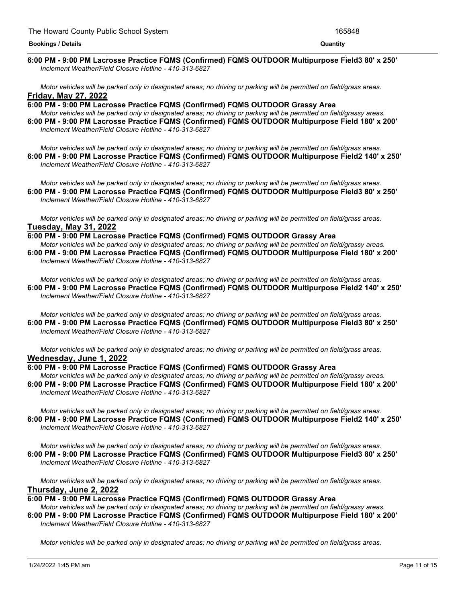#### <u> 1989 - Andrea Andrew Maria (h. 1989).</u> **6:00 PM - 9:00 PM Lacrosse Practice FQMS (Confirmed) FQMS OUTDOOR Multipurpose Field3 80' x 250'** *Inclement Weather/Field Closure Hotline - 410-313-6827*

Motor vehicles will be parked only in designated areas; no driving or parking will be permitted on field/grass areas. **Friday, May 27, 2022**

**6:00 PM - 9:00 PM Lacrosse Practice FQMS (Confirmed) FQMS OUTDOOR Grassy Area** Motor vehicles will be parked only in designated areas; no driving or parking will be permitted on field/grassy areas. **6:00 PM - 9:00 PM Lacrosse Practice FQMS (Confirmed) FQMS OUTDOOR Multipurpose Field 180' x 200'** *Inclement Weather/Field Closure Hotline - 410-313-6827*

Motor vehicles will be parked only in designated areas; no driving or parking will be permitted on field/grass areas. **6:00 PM - 9:00 PM Lacrosse Practice FQMS (Confirmed) FQMS OUTDOOR Multipurpose Field2 140' x 250'** *Inclement Weather/Field Closure Hotline - 410-313-6827*

Motor vehicles will be parked only in designated areas; no driving or parking will be permitted on field/grass areas. **6:00 PM - 9:00 PM Lacrosse Practice FQMS (Confirmed) FQMS OUTDOOR Multipurpose Field3 80' x 250'** *Inclement Weather/Field Closure Hotline - 410-313-6827*

Motor vehicles will be parked only in designated areas; no driving or parking will be permitted on field/grass areas. **Tuesday, May 31, 2022**

# **6:00 PM - 9:00 PM Lacrosse Practice FQMS (Confirmed) FQMS OUTDOOR Grassy Area**

Motor vehicles will be parked only in designated areas; no driving or parking will be permitted on field/grassy areas. **6:00 PM - 9:00 PM Lacrosse Practice FQMS (Confirmed) FQMS OUTDOOR Multipurpose Field 180' x 200'** *Inclement Weather/Field Closure Hotline - 410-313-6827*

Motor vehicles will be parked only in designated areas; no driving or parking will be permitted on field/grass areas. **6:00 PM - 9:00 PM Lacrosse Practice FQMS (Confirmed) FQMS OUTDOOR Multipurpose Field2 140' x 250'** *Inclement Weather/Field Closure Hotline - 410-313-6827*

Motor vehicles will be parked only in designated areas; no driving or parking will be permitted on field/grass areas. **6:00 PM - 9:00 PM Lacrosse Practice FQMS (Confirmed) FQMS OUTDOOR Multipurpose Field3 80' x 250'** *Inclement Weather/Field Closure Hotline - 410-313-6827*

Motor vehicles will be parked only in designated areas; no driving or parking will be permitted on field/grass areas. **Wednesday, June 1, 2022**

**6:00 PM - 9:00 PM Lacrosse Practice FQMS (Confirmed) FQMS OUTDOOR Grassy Area** Motor vehicles will be parked only in designated areas; no driving or parking will be permitted on field/grassy areas. **6:00 PM - 9:00 PM Lacrosse Practice FQMS (Confirmed) FQMS OUTDOOR Multipurpose Field 180' x 200'** *Inclement Weather/Field Closure Hotline - 410-313-6827*

Motor vehicles will be parked only in designated areas; no driving or parking will be permitted on field/grass areas. **6:00 PM - 9:00 PM Lacrosse Practice FQMS (Confirmed) FQMS OUTDOOR Multipurpose Field2 140' x 250'** *Inclement Weather/Field Closure Hotline - 410-313-6827*

Motor vehicles will be parked only in designated areas; no driving or parking will be permitted on field/grass areas. **6:00 PM - 9:00 PM Lacrosse Practice FQMS (Confirmed) FQMS OUTDOOR Multipurpose Field3 80' x 250'** *Inclement Weather/Field Closure Hotline - 410-313-6827*

Motor vehicles will be parked only in designated areas; no driving or parking will be permitted on field/grass areas. **Thursday, June 2, 2022**

**6:00 PM - 9:00 PM Lacrosse Practice FQMS (Confirmed) FQMS OUTDOOR Grassy Area**

Motor vehicles will be parked only in designated areas; no driving or parking will be permitted on field/grassy areas. **6:00 PM - 9:00 PM Lacrosse Practice FQMS (Confirmed) FQMS OUTDOOR Multipurpose Field 180' x 200'** *Inclement Weather/Field Closure Hotline - 410-313-6827*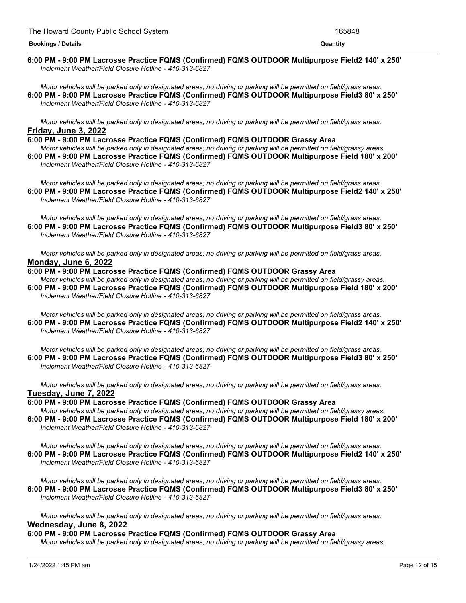#### <u> 1989 - Andrea Andrew Maria (h. 1989).</u> **6:00 PM - 9:00 PM Lacrosse Practice FQMS (Confirmed) FQMS OUTDOOR Multipurpose Field2 140' x 250'** *Inclement Weather/Field Closure Hotline - 410-313-6827*

Motor vehicles will be parked only in designated areas; no driving or parking will be permitted on field/grass areas. **6:00 PM - 9:00 PM Lacrosse Practice FQMS (Confirmed) FQMS OUTDOOR Multipurpose Field3 80' x 250'** *Inclement Weather/Field Closure Hotline - 410-313-6827*

Motor vehicles will be parked only in designated areas; no driving or parking will be permitted on field/grass areas. **Friday, June 3, 2022**

**6:00 PM - 9:00 PM Lacrosse Practice FQMS (Confirmed) FQMS OUTDOOR Grassy Area**

Motor vehicles will be parked only in designated areas; no driving or parking will be permitted on field/grassy areas. **6:00 PM - 9:00 PM Lacrosse Practice FQMS (Confirmed) FQMS OUTDOOR Multipurpose Field 180' x 200'** *Inclement Weather/Field Closure Hotline - 410-313-6827*

Motor vehicles will be parked only in designated areas; no driving or parking will be permitted on field/grass areas. **6:00 PM - 9:00 PM Lacrosse Practice FQMS (Confirmed) FQMS OUTDOOR Multipurpose Field2 140' x 250'** *Inclement Weather/Field Closure Hotline - 410-313-6827*

Motor vehicles will be parked only in designated areas; no driving or parking will be permitted on field/grass areas. **6:00 PM - 9:00 PM Lacrosse Practice FQMS (Confirmed) FQMS OUTDOOR Multipurpose Field3 80' x 250'** *Inclement Weather/Field Closure Hotline - 410-313-6827*

Motor vehicles will be parked only in designated areas: no driving or parking will be permitted on field/grass areas. **Monday, June 6, 2022**

# **6:00 PM - 9:00 PM Lacrosse Practice FQMS (Confirmed) FQMS OUTDOOR Grassy Area**

Motor vehicles will be parked only in designated areas; no driving or parking will be permitted on field/grassy areas. **6:00 PM - 9:00 PM Lacrosse Practice FQMS (Confirmed) FQMS OUTDOOR Multipurpose Field 180' x 200'** *Inclement Weather/Field Closure Hotline - 410-313-6827*

Motor vehicles will be parked only in designated areas; no driving or parking will be permitted on field/grass areas. **6:00 PM - 9:00 PM Lacrosse Practice FQMS (Confirmed) FQMS OUTDOOR Multipurpose Field2 140' x 250'** *Inclement Weather/Field Closure Hotline - 410-313-6827*

Motor vehicles will be parked only in designated areas; no driving or parking will be permitted on field/grass areas. **6:00 PM - 9:00 PM Lacrosse Practice FQMS (Confirmed) FQMS OUTDOOR Multipurpose Field3 80' x 250'** *Inclement Weather/Field Closure Hotline - 410-313-6827*

Motor vehicles will be parked only in designated areas; no driving or parking will be permitted on field/grass areas. **Tuesday, June 7, 2022**

**6:00 PM - 9:00 PM Lacrosse Practice FQMS (Confirmed) FQMS OUTDOOR Grassy Area** Motor vehicles will be parked only in designated areas; no driving or parking will be permitted on field/grassy areas. **6:00 PM - 9:00 PM Lacrosse Practice FQMS (Confirmed) FQMS OUTDOOR Multipurpose Field 180' x 200'** *Inclement Weather/Field Closure Hotline - 410-313-6827*

Motor vehicles will be parked only in designated areas; no driving or parking will be permitted on field/grass areas. **6:00 PM - 9:00 PM Lacrosse Practice FQMS (Confirmed) FQMS OUTDOOR Multipurpose Field2 140' x 250'** *Inclement Weather/Field Closure Hotline - 410-313-6827*

Motor vehicles will be parked only in designated areas; no driving or parking will be permitted on field/grass areas. **6:00 PM - 9:00 PM Lacrosse Practice FQMS (Confirmed) FQMS OUTDOOR Multipurpose Field3 80' x 250'** *Inclement Weather/Field Closure Hotline - 410-313-6827*

Motor vehicles will be parked only in designated areas; no driving or parking will be permitted on field/grass areas. **Wednesday, June 8, 2022**

# **6:00 PM - 9:00 PM Lacrosse Practice FQMS (Confirmed) FQMS OUTDOOR Grassy Area**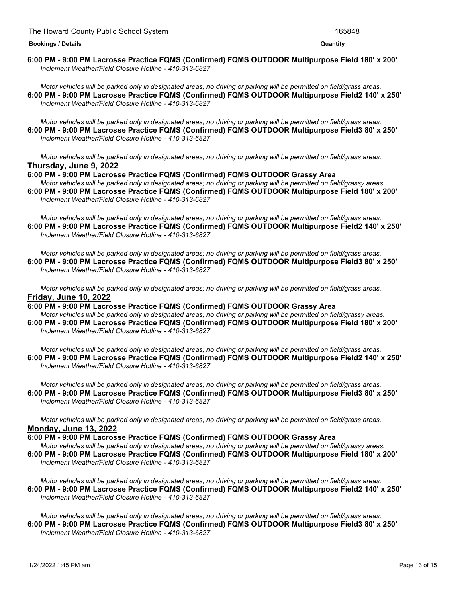#### <u> 1989 - Andrea Andrew Maria (h. 1989).</u> **6:00 PM - 9:00 PM Lacrosse Practice FQMS (Confirmed) FQMS OUTDOOR Multipurpose Field 180' x 200'** *Inclement Weather/Field Closure Hotline - 410-313-6827*

Motor vehicles will be parked only in designated areas; no driving or parking will be permitted on field/grass areas. **6:00 PM - 9:00 PM Lacrosse Practice FQMS (Confirmed) FQMS OUTDOOR Multipurpose Field2 140' x 250'** *Inclement Weather/Field Closure Hotline - 410-313-6827*

Motor vehicles will be parked only in designated areas; no driving or parking will be permitted on field/grass areas. **6:00 PM - 9:00 PM Lacrosse Practice FQMS (Confirmed) FQMS OUTDOOR Multipurpose Field3 80' x 250'** *Inclement Weather/Field Closure Hotline - 410-313-6827*

Motor vehicles will be parked only in designated areas: no driving or parking will be permitted on field/grass areas. **Thursday, June 9, 2022**

# **6:00 PM - 9:00 PM Lacrosse Practice FQMS (Confirmed) FQMS OUTDOOR Grassy Area**

Motor vehicles will be parked only in designated areas; no driving or parking will be permitted on field/grassy areas. **6:00 PM - 9:00 PM Lacrosse Practice FQMS (Confirmed) FQMS OUTDOOR Multipurpose Field 180' x 200'** *Inclement Weather/Field Closure Hotline - 410-313-6827*

Motor vehicles will be parked only in designated areas; no driving or parking will be permitted on field/grass areas. **6:00 PM - 9:00 PM Lacrosse Practice FQMS (Confirmed) FQMS OUTDOOR Multipurpose Field2 140' x 250'** *Inclement Weather/Field Closure Hotline - 410-313-6827*

Motor vehicles will be parked only in designated areas: no driving or parking will be permitted on field/grass areas. **6:00 PM - 9:00 PM Lacrosse Practice FQMS (Confirmed) FQMS OUTDOOR Multipurpose Field3 80' x 250'** *Inclement Weather/Field Closure Hotline - 410-313-6827*

Motor vehicles will be parked only in designated areas; no driving or parking will be permitted on field/grass areas. **Friday, June 10, 2022**

**6:00 PM - 9:00 PM Lacrosse Practice FQMS (Confirmed) FQMS OUTDOOR Grassy Area** Motor vehicles will be parked only in designated areas; no driving or parking will be permitted on field/grassy areas.

**6:00 PM - 9:00 PM Lacrosse Practice FQMS (Confirmed) FQMS OUTDOOR Multipurpose Field 180' x 200'** *Inclement Weather/Field Closure Hotline - 410-313-6827*

Motor vehicles will be parked only in designated areas; no driving or parking will be permitted on field/grass areas. **6:00 PM - 9:00 PM Lacrosse Practice FQMS (Confirmed) FQMS OUTDOOR Multipurpose Field2 140' x 250'** *Inclement Weather/Field Closure Hotline - 410-313-6827*

Motor vehicles will be parked only in designated areas; no driving or parking will be permitted on field/grass areas. **6:00 PM - 9:00 PM Lacrosse Practice FQMS (Confirmed) FQMS OUTDOOR Multipurpose Field3 80' x 250'** *Inclement Weather/Field Closure Hotline - 410-313-6827*

Motor vehicles will be parked only in designated areas; no driving or parking will be permitted on field/grass areas. **Monday, June 13, 2022**

**6:00 PM - 9:00 PM Lacrosse Practice FQMS (Confirmed) FQMS OUTDOOR Grassy Area**

Motor vehicles will be parked only in designated areas; no driving or parking will be permitted on field/grassy areas. **6:00 PM - 9:00 PM Lacrosse Practice FQMS (Confirmed) FQMS OUTDOOR Multipurpose Field 180' x 200'** *Inclement Weather/Field Closure Hotline - 410-313-6827*

Motor vehicles will be parked only in designated areas; no driving or parking will be permitted on field/grass areas. **6:00 PM - 9:00 PM Lacrosse Practice FQMS (Confirmed) FQMS OUTDOOR Multipurpose Field2 140' x 250'** *Inclement Weather/Field Closure Hotline - 410-313-6827*

Motor vehicles will be parked only in designated areas; no driving or parking will be permitted on field/grass areas. **6:00 PM - 9:00 PM Lacrosse Practice FQMS (Confirmed) FQMS OUTDOOR Multipurpose Field3 80' x 250'** *Inclement Weather/Field Closure Hotline - 410-313-6827*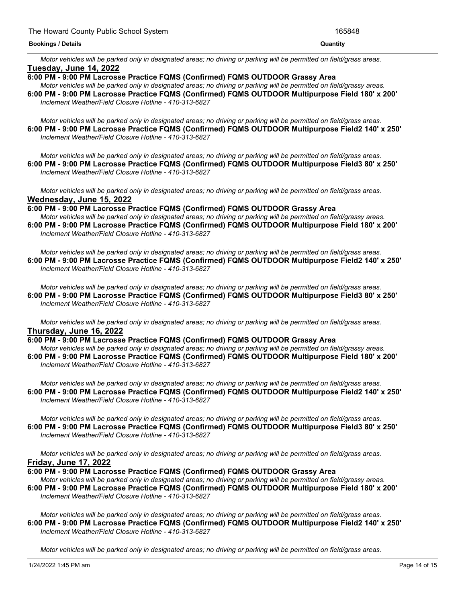Motor vehicles will be parked only in designated areas; no driving or parking will be permitted on field/grass areas. **Tuesday, June 14, 2022**

**6:00 PM - 9:00 PM Lacrosse Practice FQMS (Confirmed) FQMS OUTDOOR Grassy Area**

Motor vehicles will be parked only in designated areas; no driving or parking will be permitted on field/grassy areas. **6:00 PM - 9:00 PM Lacrosse Practice FQMS (Confirmed) FQMS OUTDOOR Multipurpose Field 180' x 200'** *Inclement Weather/Field Closure Hotline - 410-313-6827*

Motor vehicles will be parked only in designated areas; no driving or parking will be permitted on field/grass areas. **6:00 PM - 9:00 PM Lacrosse Practice FQMS (Confirmed) FQMS OUTDOOR Multipurpose Field2 140' x 250'** *Inclement Weather/Field Closure Hotline - 410-313-6827*

Motor vehicles will be parked only in designated areas; no driving or parking will be permitted on field/grass areas. **6:00 PM - 9:00 PM Lacrosse Practice FQMS (Confirmed) FQMS OUTDOOR Multipurpose Field3 80' x 250'** *Inclement Weather/Field Closure Hotline - 410-313-6827*

Motor vehicles will be parked only in designated areas; no driving or parking will be permitted on field/grass areas. **Wednesday, June 15, 2022**

**6:00 PM - 9:00 PM Lacrosse Practice FQMS (Confirmed) FQMS OUTDOOR Grassy Area**

Motor vehicles will be parked only in designated areas; no driving or parking will be permitted on field/grassy areas. **6:00 PM - 9:00 PM Lacrosse Practice FQMS (Confirmed) FQMS OUTDOOR Multipurpose Field 180' x 200'** *Inclement Weather/Field Closure Hotline - 410-313-6827*

Motor vehicles will be parked only in designated areas; no driving or parking will be permitted on field/grass areas. **6:00 PM - 9:00 PM Lacrosse Practice FQMS (Confirmed) FQMS OUTDOOR Multipurpose Field2 140' x 250'** *Inclement Weather/Field Closure Hotline - 410-313-6827*

Motor vehicles will be parked only in designated areas; no driving or parking will be permitted on field/grass areas. **6:00 PM - 9:00 PM Lacrosse Practice FQMS (Confirmed) FQMS OUTDOOR Multipurpose Field3 80' x 250'** *Inclement Weather/Field Closure Hotline - 410-313-6827*

Motor vehicles will be parked only in designated areas; no driving or parking will be permitted on field/grass areas. **Thursday, June 16, 2022**

**6:00 PM - 9:00 PM Lacrosse Practice FQMS (Confirmed) FQMS OUTDOOR Grassy Area**

Motor vehicles will be parked only in designated areas; no driving or parking will be permitted on field/grassy areas. **6:00 PM - 9:00 PM Lacrosse Practice FQMS (Confirmed) FQMS OUTDOOR Multipurpose Field 180' x 200'** *Inclement Weather/Field Closure Hotline - 410-313-6827*

Motor vehicles will be parked only in designated areas; no driving or parking will be permitted on field/grass areas. **6:00 PM - 9:00 PM Lacrosse Practice FQMS (Confirmed) FQMS OUTDOOR Multipurpose Field2 140' x 250'** *Inclement Weather/Field Closure Hotline - 410-313-6827*

Motor vehicles will be parked only in designated areas; no driving or parking will be permitted on field/grass areas. **6:00 PM - 9:00 PM Lacrosse Practice FQMS (Confirmed) FQMS OUTDOOR Multipurpose Field3 80' x 250'** *Inclement Weather/Field Closure Hotline - 410-313-6827*

Motor vehicles will be parked only in designated areas; no driving or parking will be permitted on field/grass areas. **Friday, June 17, 2022**

**6:00 PM - 9:00 PM Lacrosse Practice FQMS (Confirmed) FQMS OUTDOOR Grassy Area**

Motor vehicles will be parked only in designated areas; no driving or parking will be permitted on field/grassy areas. **6:00 PM - 9:00 PM Lacrosse Practice FQMS (Confirmed) FQMS OUTDOOR Multipurpose Field 180' x 200'** *Inclement Weather/Field Closure Hotline - 410-313-6827*

Motor vehicles will be parked only in designated areas; no driving or parking will be permitted on field/grass areas. **6:00 PM - 9:00 PM Lacrosse Practice FQMS (Confirmed) FQMS OUTDOOR Multipurpose Field2 140' x 250'** *Inclement Weather/Field Closure Hotline - 410-313-6827*